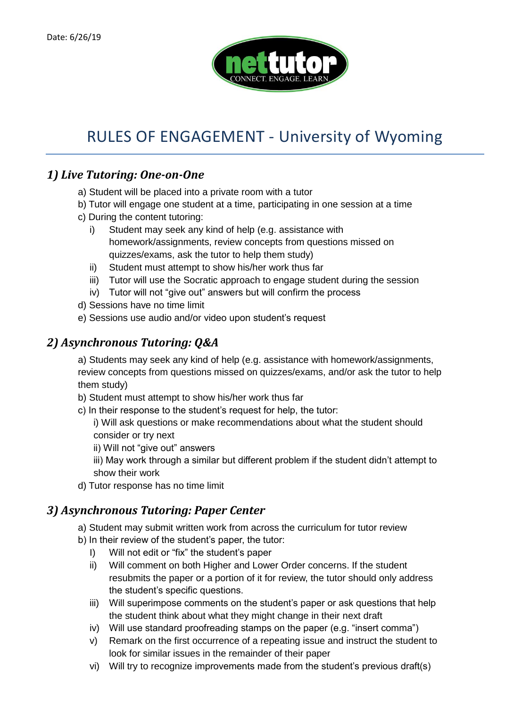

## RULES OF ENGAGEMENT - University of Wyoming

## *1) Live Tutoring: One-on-One*

- a) Student will be placed into a private room with a tutor
- b) Tutor will engage one student at a time, participating in one session at a time
- c) During the content tutoring:
	- i) Student may seek any kind of help (e.g. assistance with homework/assignments, review concepts from questions missed on quizzes/exams, ask the tutor to help them study)
	- ii) Student must attempt to show his/her work thus far
	- iii) Tutor will use the Socratic approach to engage student during the session
	- iv) Tutor will not "give out" answers but will confirm the process
- d) Sessions have no time limit
- e) Sessions use audio and/or video upon student's request

## *2) Asynchronous Tutoring: Q&A*

a) Students may seek any kind of help (e.g. assistance with homework/assignments, review concepts from questions missed on quizzes/exams, and/or ask the tutor to help them study)

b) Student must attempt to show his/her work thus far

c) In their response to the student's request for help, the tutor:

i) Will ask questions or make recommendations about what the student should consider or try next

ii) Will not "give out" answers

iii) May work through a similar but different problem if the student didn't attempt to show their work

d) Tutor response has no time limit

## *3) Asynchronous Tutoring: Paper Center*

a) Student may submit written work from across the curriculum for tutor review

- b) In their review of the student's paper, the tutor:
	- I) Will not edit or "fix" the student's paper
	- ii) Will comment on both Higher and Lower Order concerns. If the student resubmits the paper or a portion of it for review, the tutor should only address the student's specific questions.
	- iii) Will superimpose comments on the student's paper or ask questions that help the student think about what they might change in their next draft
	- iv) Will use standard proofreading stamps on the paper (e.g. "insert comma")
	- v) Remark on the first occurrence of a repeating issue and instruct the student to look for similar issues in the remainder of their paper
	- vi) Will try to recognize improvements made from the student's previous draft(s)